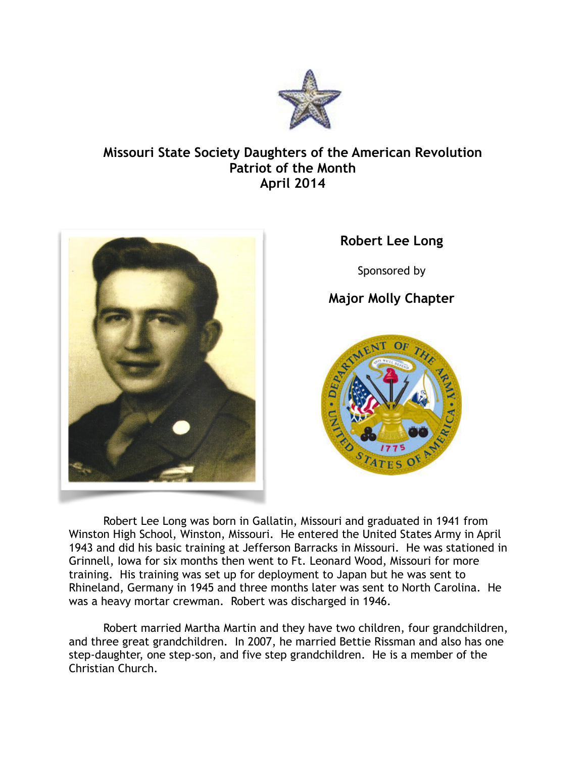

## **Missouri State Society Daughters of the American Revolution Patriot of the Month April 2014**



## **Robert Lee Long**

Sponsored by

## **Major Molly Chapter**



Robert Lee Long was born in Gallatin, Missouri and graduated in 1941 from Winston High School, Winston, Missouri. He entered the United States Army in April 1943 and did his basic training at Jefferson Barracks in Missouri. He was stationed in Grinnell, Iowa for six months then went to Ft. Leonard Wood, Missouri for more training. His training was set up for deployment to Japan but he was sent to Rhineland, Germany in 1945 and three months later was sent to North Carolina. He was a heavy mortar crewman. Robert was discharged in 1946.

Robert married Martha Martin and they have two children, four grandchildren, and three great grandchildren. In 2007, he married Bettie Rissman and also has one step-daughter, one step-son, and five step grandchildren. He is a member of the Christian Church.